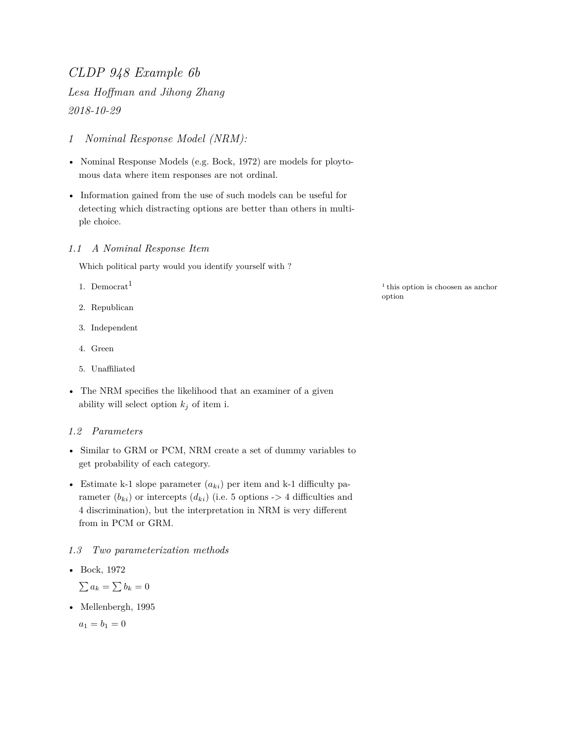## *CLDP 948 Example 6b*

*Lesa Hoffman and Jihong Zhang 2018-10-29*

- *1 Nominal Response Model (NRM):*
- Nominal Response Models (e.g. Bock, 1972) are models for ploytomous data where item responses are not ordinal.
- Information gained from the use of such models can be useful for detecting which distracting options are better than others in multiple choice.

### *1.1 A Nominal Response Item*

Which political party would you identify yourself with ?

- 1. Democrat<sup>1</sup>
- 2. Republican
- 3. Independent
- 4. Green
- 5. Unaffiliated
- The NRM specifies the likelihood that an examiner of a given ability will select option  $k_j$  of item i.

### *1.2 Parameters*

- Similar to GRM or PCM, NRM create a set of dummy variables to get probability of each category.
- Estimate k-1 slope parameter  $(a_{ki})$  per item and k-1 difficulty parameter  $(b_{ki})$  or intercepts  $(d_{ki})$  (i.e. 5 options  $\rightarrow$  4 difficulties and 4 discrimination), but the interpretation in NRM is very different from in PCM or GRM.

### *1.3 Two parameterization methods*

• Bock, 1972

 $\sum a_k = \sum b_k = 0$ 

• Mellenbergh, 1995

 $a_1 = b_1 = 0$ 

 $1$ <sup>this option is choosen as anchor</sup> option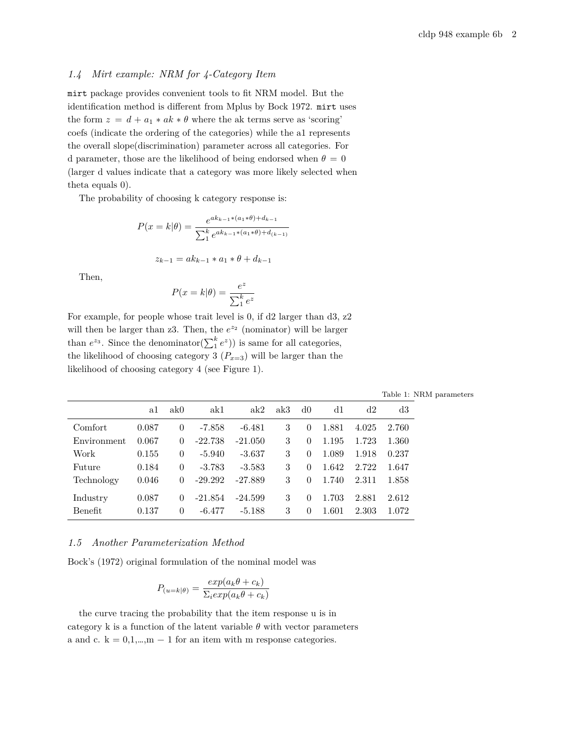#### *1.4 Mirt example: NRM for 4-Category Item*

mirt package provides convenient tools to fit NRM model. But the identification method is different from Mplus by Bock 1972. mirt uses the form  $z = d + a_1 * ak * \theta$  $z = d + a_1 * ak * \theta$  $z = d + a_1 * ak * \theta$  where the ak terms serve as 'scoring' coefs (indicate the ordering of the categories) while the a1 represents the overall slope(discrimination) parameter across all categories. For d parameter, those are the likelihood of being endorsed when  $\theta = 0$ (larger d values indicate that a category was more likely selected when theta equals 0).

The probability of choosing k category response is:

$$
P(x = k|\theta) = \frac{e^{ak_{k-1}*(a_1*\theta) + d_{k-1}}}{\sum_{1}^{k} e^{ak_{k-1}*(a_1*\theta) + d_{(k-1)}}}
$$

$$
z_{k-1} = ak_{k-1} * a_1 * \theta + d_{k-1}
$$

Then,

$$
P(x = k|\theta) = \frac{e^z}{\sum_1^k e^z}
$$

For example, for people whose trait level is 0, if d2 larger than d3, z2 will then be larger than  $z3$ . Then, the  $e^{z_2}$  (nominator) will be larger than  $e^{z_3}$ . Since the denominator( $\sum_1^k e^{z}$ )) is same for all categories, the likelihood of choosing category 3  $(P_{x=3})$  will be larger than the likelihood of choosing category 4 (see Figure [1](#page-2-0)).

|  | $\mathrm{a1}\quad \mathrm{ak0} \qquad \mathrm{ak1} \qquad \mathrm{ak2}\quad \mathrm{ak3}\quad \mathrm{d0} \qquad \mathrm{d1} \qquad \mathrm{d2} \qquad \mathrm{d3}$ |  |  |  |
|--|---------------------------------------------------------------------------------------------------------------------------------------------------------------------|--|--|--|
|  | 87 0 -7.858 -6.481 3 0 1.881 4.025 2.760                                                                                                                            |  |  |  |

Table 1: NRM parameters

| Comfort     | 0.087 | $\theta$ | -7.858    | $-6.481$  |   |                  | 1.881 | 4.025 | 2.760 |
|-------------|-------|----------|-----------|-----------|---|------------------|-------|-------|-------|
| Environment | 0.067 | $\Omega$ | $-22.738$ | $-21.050$ | 3 |                  | 1.195 | 1.723 | 1.360 |
| Work        | 0.155 | $\theta$ | $-5.940$  | $-3.637$  |   |                  | 1.089 | 1.918 | 0.237 |
| Future      | 0.184 | $\theta$ | $-3.783$  | $-3.583$  |   | $\theta$         | 1.642 | 2.722 | 1.647 |
| Technology  | 0.046 | $\theta$ | $-29.292$ | -27.889   | 3 | $\mathbf{0}$     | 1.740 | 2.311 | 1.858 |
| Industry    | 0.087 | $\Omega$ | $-21.854$ | $-24.599$ | 3 | $\left( \right)$ | 1.703 | 2.881 | 2.612 |
| Benefit     | 0.137 | $\theta$ | $-6.477$  | $-5.188$  | 3 | $\theta$         | 1.601 | 2.303 | 1.072 |

### *1.5 Another Parameterization Method*

Bock's (1972) original formulation of the nominal model was

$$
P_{(u=k|\theta)} = \frac{exp(a_k\theta + c_k)}{\sum_i exp(a_k\theta + c_k)}
$$

the curve tracing the probability that the item response u is in category k is a function of the latent variable  $\theta$  with vector parameters a and c.  $k = 0, 1, \dots, m - 1$  for an item with m response categories.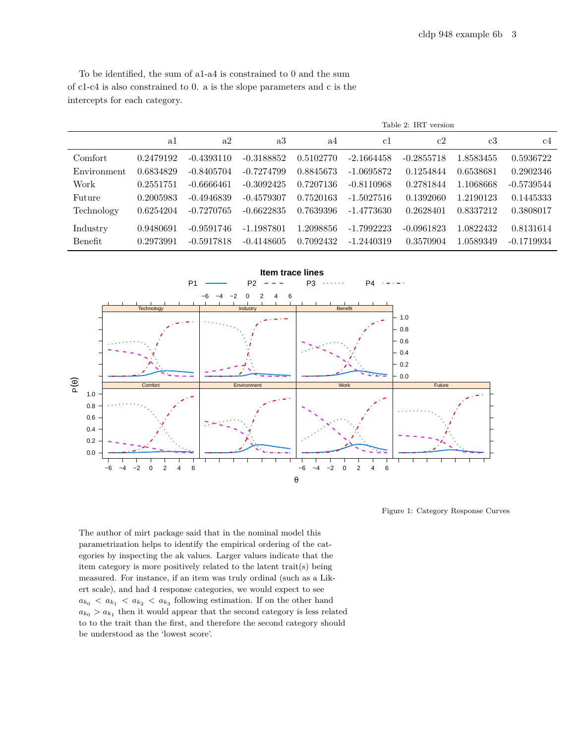|                |           |              |              |           |              | Table 2: IRT version |           |              |
|----------------|-----------|--------------|--------------|-----------|--------------|----------------------|-----------|--------------|
|                | a1        | a2           | a3           | a4        | c1           | c2                   | c3        | c4           |
| Comfort        | 0.2479192 | $-0.4393110$ | $-0.3188852$ | 0.5102770 | $-2.1664458$ | $-0.2855718$         | 1.8583455 | 0.5936722    |
| Environment    | 0.6834829 | $-0.8405704$ | $-0.7274799$ | 0.8845673 | $-1.0695872$ | 0.1254844            | 0.6538681 | 0.2902346    |
| Work           | 0.2551751 | $-0.6666461$ | $-0.3092425$ | 0.7207136 | $-0.8110968$ | 0.2781844            | 1.1068668 | $-0.5739544$ |
| Future         | 0.2005983 | $-0.4946839$ | $-0.4579307$ | 0.7520163 | $-1.5027516$ | 0.1392060            | 1.2190123 | 0.1445333    |
| Technology     | 0.6254204 | $-0.7270765$ | $-0.6622835$ | 0.7639396 | $-1.4773630$ | 0.2628401            | 0.8337212 | 0.3808017    |
| Industry       | 0.9480691 | $-0.9591746$ | -1.1987801   | 1.2098856 | $-1.7992223$ | $-0.0961823$         | 1.0822432 | 0.8131614    |
| <b>Benefit</b> | 0.2973991 | $-0.5917818$ | $-0.4148605$ | 0.7092432 | $-1.2440319$ | 0.3570904            | 1.0589349 | $-0.1719934$ |



<span id="page-2-0"></span>Figure 1: Category Response Curves

The author of mirt package said that in the nominal model this parametrization helps to identify the empirical ordering of the categories by inspecting the ak values. Larger values indicate that the item category is more positively related to the latent trait(s) being measured. For instance, if an item was truly ordinal (such as a Likert scale), and had 4 response categories, we would expect to see  $a_{k_0} < a_{k_1} < a_{k_2} < a_{k_3}$  following estimation. If on the other hand  $a_{k_0} > a_{k_1}$  then it would appear that the second category is less related to to the trait than the first, and therefore the second category should be understood as the 'lowest score'.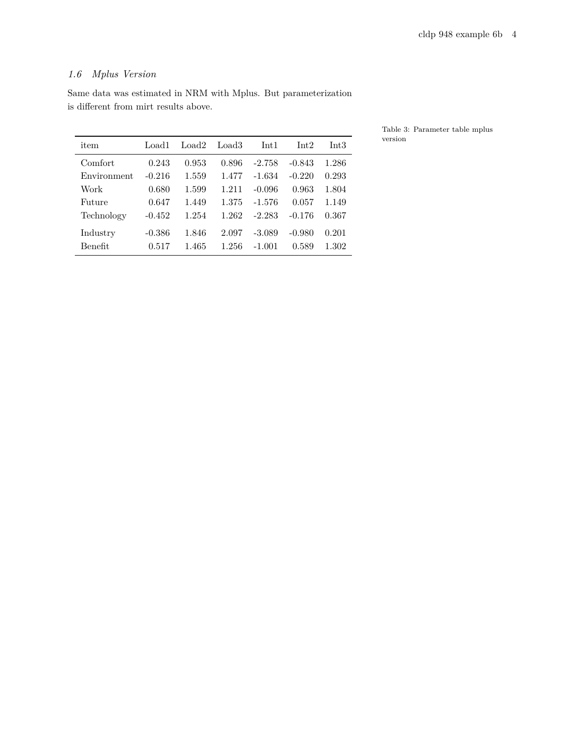# *1.6 Mplus Version*

is different from mirt results above.

item Load1 Load2 Load3 Int1 Int2 Int3 Comfort 0.243 0.953 0.896 -2.758 -0.843 1.286 Environment -0.216 1.559 1.477 -1.634 -0.220 0.293 Work 0.680 1.599 1.211 -0.096 0.963 1.804 Future 0.647 1.449 1.375 -1.576 0.057 1.149 Technology -0.452 1.254 1.262 -2.283 -0.176 0.367 Industry -0.386 1.846 2.097 -3.089 -0.980 0.201 Benefit 0.517 1.465 1.256 -1.001 0.589 1.302

Same data was estimated in NRM with Mplus. But parameterization

Table 3: Parameter table mplus version

| item        | Load L   | Load2 | Load3 | Int I    | Int2     | Int3  |
|-------------|----------|-------|-------|----------|----------|-------|
| Comfort     | 0.243    | 0.953 | 0.896 | $-2.758$ | $-0.843$ | 1.286 |
| Environment | $-0.216$ | 1.559 | 1.477 | $-1.634$ | $-0.220$ | 0.293 |
| Work        | 0.680    | 1.599 | 1.211 | $-0.096$ | 0.963    | 1.804 |
| Future      | 0.647    | 1.449 | 1.375 | $-1.576$ | 0.057    | 1.149 |
| Technology  | $-0.452$ | 1.254 | 1.262 | $-2.283$ | $-0.176$ | 0.367 |
| Industry    | $-0.386$ | 1.846 | 2.097 | $-3.089$ | $-0.980$ | 0.201 |
| Benefit     | 0.517    | 1.465 | 1.256 | $-1.001$ | 0.589    | 1.302 |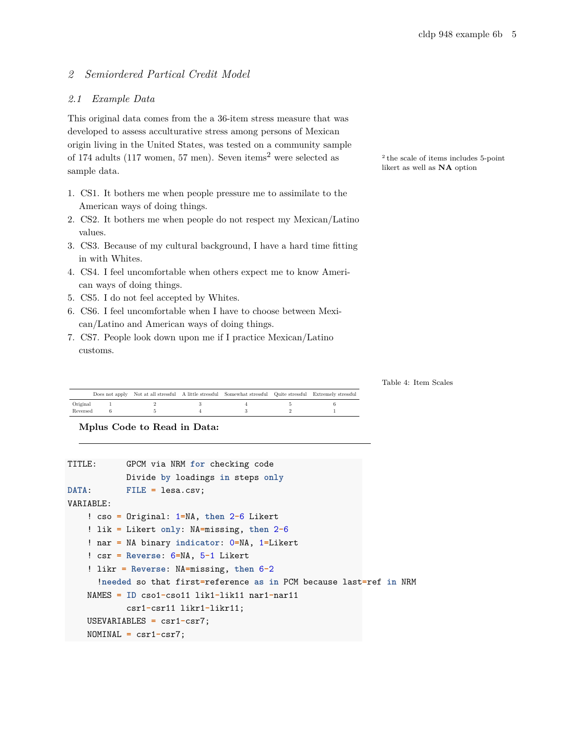### *2 Semiordered Partical Credit Model*

### *2.1 Example Data*

This original data comes from the a 36-item stress measure that was developed to assess acculturative stress among persons of Mexican origin living in the United States, was tested on a community sample of 174 adults (117 women, 57 men). Seven items<sup>2</sup> were selected as sample data. **Show that as well as NA** option sample data.

- 1. CS1. It bothers me when people pressure me to assimilate to the American ways of doing things.
- 2. CS2. It bothers me when people do not respect my Mexican/Latino values.
- 3. CS3. Because of my cultural background, I have a hard time fitting in with Whites.
- 4. CS4. I feel uncomfortable when others expect me to know American ways of doing things.
- 5. CS5. I do not feel accepted by Whites.
- 6. CS6. I feel uncomfortable when I have to choose between Mexican/Latino and American ways of doing things.
- 7. CS7. People look down upon me if I practice Mexican/Latino customs.

<sup>2</sup> the scale of items includes 5-point

Table 4: Item Scales

|          |  | Does not apply Not at all stressful A little stressful Somewhat stressful Quite stressful Extremely stressful |  |
|----------|--|---------------------------------------------------------------------------------------------------------------|--|
| Original |  |                                                                                                               |  |
| Reversed |  |                                                                                                               |  |

**Mplus Code to Read in Data:**

```
TITLE: GPCM via NRM for checking code
            Divide by loadings in steps only
DATA: FILE = lesa.csv;
VARIABLE:
    ! cso = Original: 1=NA, then 2-6 Likert
    ! lik = Likert only: NA=missing, then 2-6
    ! nar = NA binary indicator: 0=NA, 1=Likert
    ! csr = Reverse: 6=NA, 5-1 Likert
    ! likr = Reverse: NA=missing, then 6-2
      !needed so that first=reference as in PCM because last=ref in NRM
   NAMES = ID cso1-cso11 lik1-lik11 nar1-nar11
            csr1-csr11 likr1-likr11;
   USEVARIABLES = csr1-csr7;
   NOMINAL = csr1-csr7;
```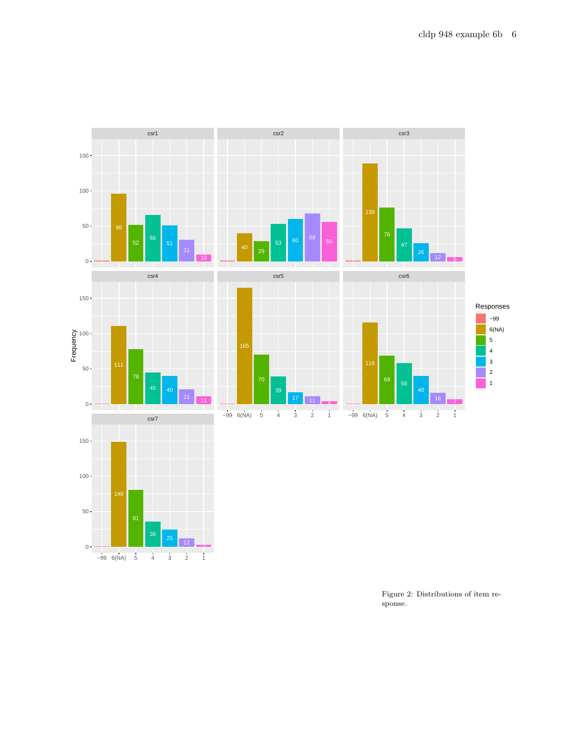

Figure 2: Distributions of item response.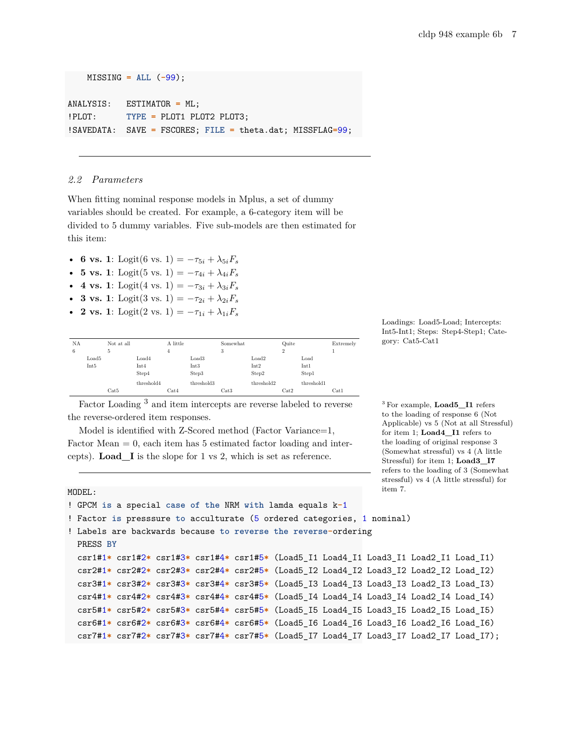MISSING **= ALL** (**-**99);

ANALYSIS: ESTIMATOR **=** ML; !PLOT: **TYPE =** PLOT1 PLOT2 PLOT3; !SAVEDATA: SAVE **=** FSCORES; **FILE =** theta.dat; MISSFLAG**=**99;

#### *2.2 Parameters*

When fitting nominal response models in Mplus, [a set of dummy](http://www.statmodel2.com/discussion/messages/23/4426.html?1379607963) [variables should be created](http://www.statmodel2.com/discussion/messages/23/4426.html?1379607963). For example, a 6-category item will be divided to 5 dummy variables. Five sub-models are then estimated for this item:

- **6 vs.** 1: Logit(6 vs. 1) =  $-\tau_{5i} + \lambda_{5i}F_s$
- **5 vs.** 1: Logit(5 vs. 1) =  $-\tau_{4i} + \lambda_{4i}F_s$
- **4 vs.** 1: Logit(4 vs. 1) =  $-\tau_{3i} + \lambda_{3i}F_s$
- **3 vs.** 1: Logit(3 vs. 1) =  $-\tau_{2i} + \lambda_{2i}F_s$
- **2 vs.** 1: Logit(2 vs. 1) =  $-\tau_{1i} + \lambda_{1i}F_s$

| NA |       | Not at all |            | A little |                   | Somewhat |            | Quite          |            | Extremely |
|----|-------|------------|------------|----------|-------------------|----------|------------|----------------|------------|-----------|
| 6  |       | 5          |            | 4        |                   | 3        |            | $\overline{2}$ |            |           |
|    | Load5 |            | Load4      |          | Load <sub>3</sub> |          | Load2      |                | Load       |           |
|    | Int5  |            | Int4       |          | Int3              |          | Int2       |                | Int1       |           |
|    |       |            | Step4      |          | Step3             |          | Step2      |                | Step1      |           |
|    |       |            | threshold4 |          | threshold3        |          | threshold2 |                | threshold1 |           |
|    |       | Cat5       |            | Cat4     |                   | Cat3     |            | Cat2           |            | Cat1      |

Factor Loading <sup>3</sup> and item intercepts are reverse labeled to reverse <sup>3</sup> For example, **Load5\_I1** refers the reverse-ordered item responses.

Model is identified with Z-Scored method (Factor Variance=1, Factor Mean  $= 0$ , each item has 5 estimated factor loading and intercepts). **Load\_I** is the slope for 1 vs 2, which is set as reference.

Loadings: Load5-Load; Intercepts: Int5-Int1; Steps: Step4-Step1; Category: Cat5-Cat1

to the loading of response 6 (Not Applicable) vs 5 (Not at all Stressful) for item 1; **Load4\_I1** refers to the loading of original response 3 (Somewhat stressful) vs 4 (A little Stressful) for item 1; **Load3\_I7** refers to the loading of 3 (Somewhat stressful) vs 4 (A little stressful) for item 7.

```
MODEL:
```

```
! GPCM is a special case of the NRM with lamda equals k-1
! Factor is presssure to acculturate (5 ordered categories, 1 nominal)
! Labels are backwards because to reverse the reverse-ordering
 PRESS BY
 csr1#1* csr1#2* csr1#3* csr1#4* csr1#5* (Load5_I1 Load4_I1 Load3_I1 Load2_I1 Load_I1)
 csr2#1* csr2#2* csr2#3* csr2#4* csr2#5* (Load5_I2 Load4_I2 Load3_I2 Load2_I2 Load_I2)
 csr3#1* csr3#2* csr3#3* csr3#4* csr3#5* (Load5_I3 Load4_I3 Load3_I3 Load2_I3 Load_I3)
 csr4#1* csr4#2* csr4#3* csr4#4* csr4#5* (Load5_I4 Load4_I4 Load3_I4 Load2_I4 Load_I4)
 csr5#1* csr5#2* csr5#3* csr5#4* csr5#5* (Load5_I5 Load4_I5 Load3_I5 Load2_I5 Load_I5)
 csr6#1* csr6#2* csr6#3* csr6#4* csr6#5* (Load5_I6 Load4_I6 Load3_I6 Load2_I6 Load_I6)
 csr7#1* csr7#2* csr7#3* csr7#4* csr7#5* (Load5_I7 Load4_I7 Load3_I7 Load2_I7 Load_I7);
```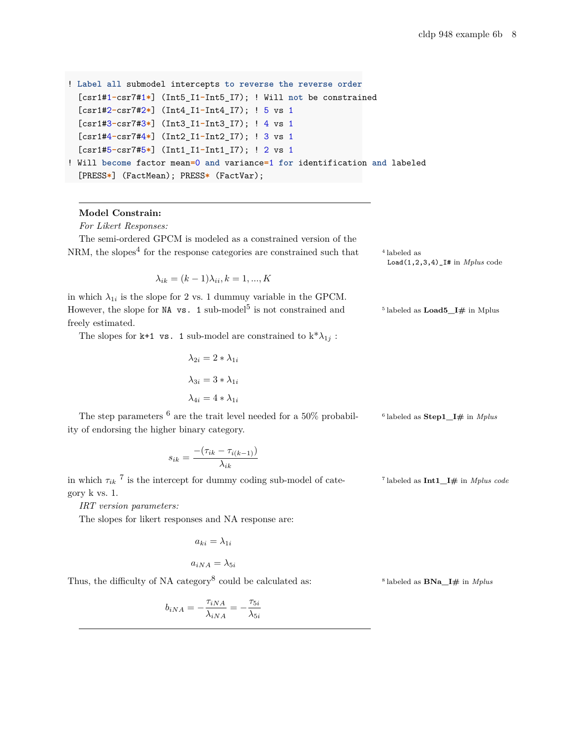```
! Label all submodel intercepts to reverse the reverse order
  [csr1#1-csr7#1*] (Int5_I1-Int5_I7); ! Will not be constrained
  [csr1#2-csr7#2*] (Int4_I1-Int4_I7); ! 5 vs 1
  [csr1#3-csr7#3*] (Int3_I1-Int3_I7); ! 4 vs 1
  [csr1#4-csr7#4*] (Int2_I1-Int2_I7); ! 3 vs 1
  [csr1#5-csr7#5*] (Int1_I1-Int1_I7); ! 2 vs 1
! Will become factor mean=0 and variance=1 for identification and labeled
  [PRESS*] (FactMean); PRESS* (FactVar);
```
#### **Model Constrain:**

*For Likert Responses:*

The semi-ordered GPCM is modeled as a constrained version of the NRM, the slopes<sup>4</sup> for the response categories are constrained such that  $44$ 

 $\lambda_{ik} = (k-1)\lambda_{ii}, k = 1, ..., K$ 

in which  $\lambda_{1i}$  is the slope for 2 vs. 1 dummuy variable in the GPCM. However, the slope for NA vs. 1 sub-model<sup>5</sup> is not constrained and  $5$ freely estimated.

The slopes for k+1 vs. 1 sub-model are constrained to  $k^* \lambda_{1j}$ :

$$
\lambda_{2i} = 2 * \lambda_{1i}
$$

$$
\lambda_{3i} = 3 * \lambda_{1i}
$$

$$
\lambda_{4i} = 4 * \lambda_{1i}
$$

The step parameters  $6$  are the trait level needed for a 50% probabil-<sup>6</sup> labeled as **Step1 I**# in *Mplus* ity of endorsing the higher binary category.

$$
s_{ik} = \frac{-(\tau_{ik} - \tau_{i(k-1)})}{\lambda_{ik}}
$$

in which  $\tau_{ik}$ <sup>7</sup> is the intercept for dummy coding sub-model of category k vs. 1.

*IRT version parameters:*

The slopes for likert responses and NA response are:

$$
a_{ki}=\lambda_{1i}
$$

$$
a_{iNA} = \lambda_{5i}
$$

Thus, the difficulty of NA category<sup>8</sup> could be calculated as:  $8^8$ 

$$
b_{iNA}=-\frac{\tau_{iNA}}{\lambda_{iNA}}=-\frac{\tau_{5i}}{\lambda_{5i}}
$$

 $^4$  labeled as Load(1,2,3,4)\_I# in *Mplus* code

 $^5$  labeled as  $\textbf{Load5}\_\textbf{I}\#$  in Mplus

labeled as **Int1\_I#** in *Mplus code*

labeled as **BNa\_I#** in *Mplus*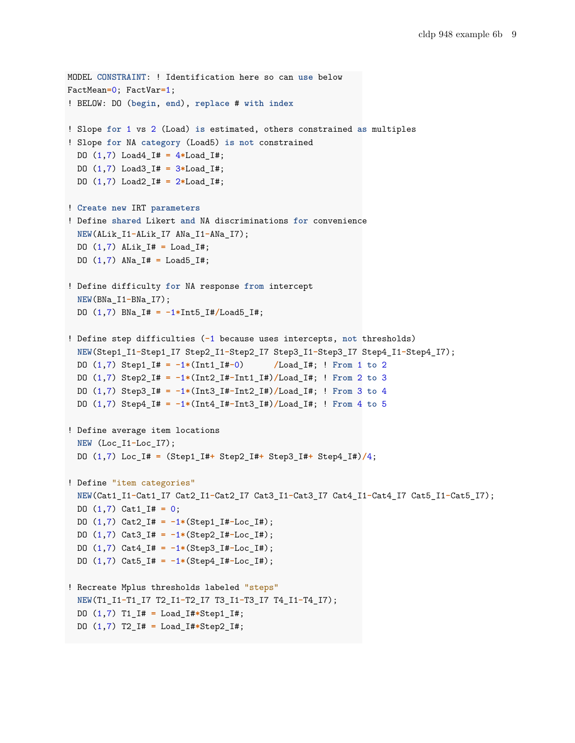```
MODEL CONSTRAINT: ! Identification here so can use below
FactMean=0; FactVar=1;
! BELOW: DO (begin, end), replace # with index
! Slope for 1 vs 2 (Load) is estimated, others constrained as multiples
! Slope for NA category (Load5) is not constrained
 DO (1,7) Load4_I# = 4*Load_I#;
 DO (1,7) Load3_I# = 3*Load_I#;
 DO (1,7) Load2_I# = 2*Load_I#;
! Create new IRT parameters
! Define shared Likert and NA discriminations for convenience
 NEW(ALik_I1-ALik_I7 ANa_I1-ANa_I7);
 DO (1,7) ALik_I# = Load_I#;
 DO (1,7) ANa_I# = Load5_I#;
! Define difficulty for NA response from intercept
 NEW(BNa_I1-BNa_I7);
 DO (1,7) BNa_I# = -1*Int5_I#/Load5_I#;
! Define step difficulties (-1 because uses intercepts, not thresholds)
 NEW(Step1_I1-Step1_I7 Step2_I1-Step2_I7 Step3_I1-Step3_I7 Step4_I1-Step4_I7);
 DO (1,7) Step1_I# = -1*(Int1_I#-0) /Load_I#; ! From 1 to 2
 DO (1,7) Step2_I# = -1*(Int2_I#-Int1_I#)/Load_I#; ! From 2 to 3
 DO (1,7) Step3_I# = -1*(Int3_I#-Int2_I#)/Load_I#; ! From 3 to 4
 DO (1,7) Step4_I# = -1*(Int4_I#-Int3_I#)/Load_I#; ! From 4 to 5
! Define average item locations
 NEW (Loc_I1-Loc_I7);
 DO (1,7) Loc_I# = (Step1_I#+ Step2_I#+ Step3_I#+ Step4_I#)/4;
! Define "item categories"
 NEW(Cat1_I1-Cat1_I7 Cat2_I1-Cat2_I7 Cat3_I1-Cat3_I7 Cat4_I1-Cat4_I7 Cat5_I1-Cat5_I7);
 DO (1,7) Cat1_I# = 0;
 DO (1,7) Cat2_I# = -1*(Step1_I#-Loc_I#);
 DO (1,7) Cat3_I# = -1*(Step2_I#-Loc_I#);
 DO (1,7) Cat4_I# = -1*(Step3_I#-Loc_I#);
 DO (1,7) Cat5_I# = -1*(Step4_I#-Loc_I#);
! Recreate Mplus thresholds labeled "steps"
 NEW(T1_I1-T1_I7 T2_I1-T2_I7 T3_I1-T3_I7 T4_I1-T4_I7);
 DO (1,7) T1_I# = Load_I#*Step1_I#;
 DO (1,7) T2_I# = Load_I#*Step2_I#;
```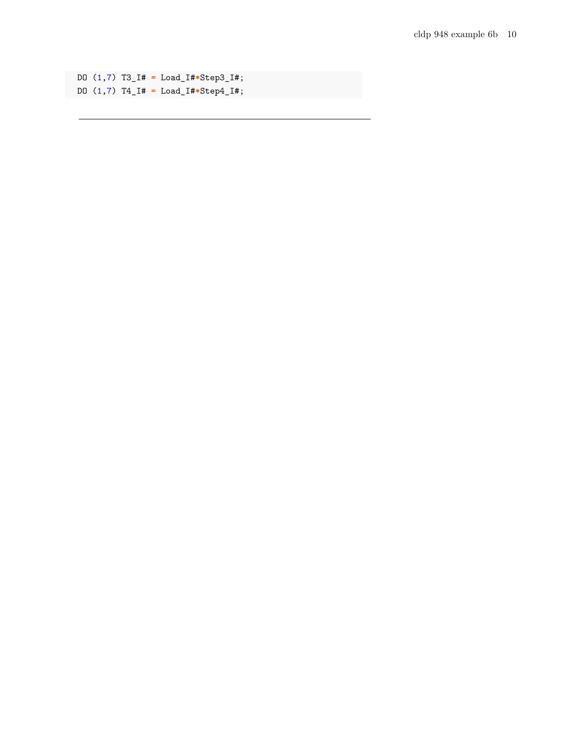DO (1,7) T3\_I# **=** Load\_I#**\***Step3\_I#; DO (1,7) T4\_I# **=** Load\_I#**\***Step4\_I#;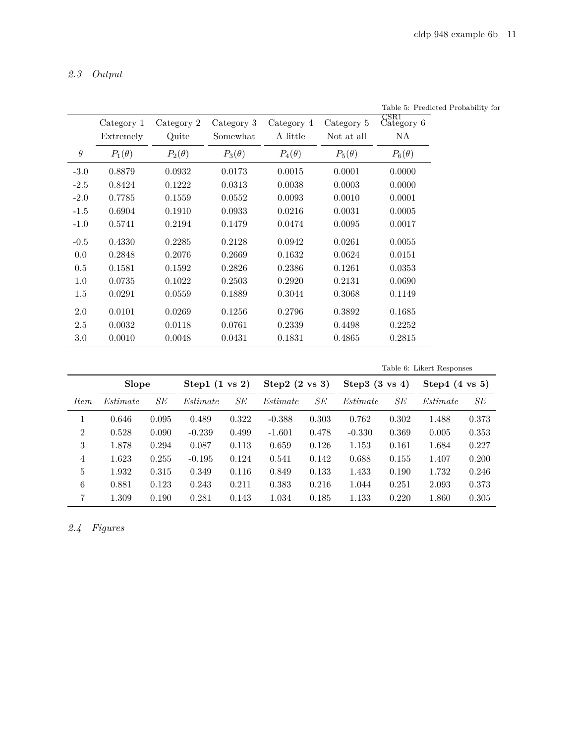# *2.3 Output*

|          |               |               |               |               |               | Iable 5: Predicted Pro<br>$_{\rm CSR1}$ |
|----------|---------------|---------------|---------------|---------------|---------------|-----------------------------------------|
|          | Category 1    | Category 2    | Category 3    | Category 4    | Category 5    | Category 6                              |
|          | Extremely     | Quite         | Somewhat      | A little      | Not at all    | NA                                      |
| $\theta$ | $P_1(\theta)$ | $P_2(\theta)$ | $P_3(\theta)$ | $P_4(\theta)$ | $P_5(\theta)$ | $P_6(\theta)$                           |
| $-3.0$   | 0.8879        | 0.0932        | 0.0173        | 0.0015        | 0.0001        | 0.0000                                  |
| $-2.5$   | 0.8424        | 0.1222        | 0.0313        | 0.0038        | 0.0003        | 0.0000                                  |
| $-2.0$   | 0.7785        | 0.1559        | 0.0552        | 0.0093        | 0.0010        | 0.0001                                  |
| $-1.5$   | 0.6904        | 0.1910        | 0.0933        | 0.0216        | 0.0031        | 0.0005                                  |
| $-1.0$   | 0.5741        | 0.2194        | 0.1479        | 0.0474        | 0.0095        | 0.0017                                  |
| $-0.5$   | 0.4330        | 0.2285        | 0.2128        | 0.0942        | 0.0261        | 0.0055                                  |
| 0.0      | 0.2848        | 0.2076        | 0.2669        | 0.1632        | 0.0624        | 0.0151                                  |
| 0.5      | 0.1581        | 0.1592        | 0.2826        | 0.2386        | 0.1261        | 0.0353                                  |
| 1.0      | 0.0735        | 0.1022        | 0.2503        | 0.2920        | 0.2131        | 0.0690                                  |
| $1.5\,$  | 0.0291        | 0.0559        | 0.1889        | 0.3044        | 0.3068        | 0.1149                                  |
| 2.0      | 0.0101        | 0.0269        | 0.1256        | 0.2796        | 0.3892        | 0.1685                                  |
| $2.5\,$  | 0.0032        | 0.0118        | 0.0761        | 0.2339        | 0.4498        | 0.2252                                  |
| 3.0      | 0.0010        | 0.0048        | 0.0431        | 0.1831        | 0.4865        | 0.2815                                  |

Table 5: Predicted Probability for

Table 6: Likert Responses

|                | <b>Slope</b> |       | Step1 $(1 \text{ vs } 2)$ |       | Step $2(s)$ (2 vs 3) |       | Step 3 $(3 \text{ vs } 4)$ |       | Step 4 $(4 \text{ vs } 5)$ |       |
|----------------|--------------|-------|---------------------------|-------|----------------------|-------|----------------------------|-------|----------------------------|-------|
| <i>Item</i>    | Estimate     | SЕ    | Estimate                  | SЕ    | Estimate             | SЕ    | Estimate                   | SЕ    | Estimate                   | SЕ    |
|                | 0.646        | 0.095 | 0.489                     | 0.322 | $-0.388$             | 0.303 | 0.762                      | 0.302 | 1.488                      | 0.373 |
| $\overline{2}$ | 0.528        | 0.090 | $-0.239$                  | 0.499 | $-1.601$             | 0.478 | $-0.330$                   | 0.369 | 0.005                      | 0.353 |
| 3              | 1.878        | 0.294 | 0.087                     | 0.113 | 0.659                | 0.126 | 1.153                      | 0.161 | 1.684                      | 0.227 |
| 4              | 1.623        | 0.255 | $-0.195$                  | 0.124 | 0.541                | 0.142 | 0.688                      | 0.155 | 1.407                      | 0.200 |
| 5              | 1.932        | 0.315 | 0.349                     | 0.116 | 0.849                | 0.133 | 1.433                      | 0.190 | 1.732                      | 0.246 |
| 6              | 0.881        | 0.123 | 0.243                     | 0.211 | 0.383                | 0.216 | 1.044                      | 0.251 | 2.093                      | 0.373 |
| 7              | 1.309        | 0.190 | 0.281                     | 0.143 | 1.034                | 0.185 | 1.133                      | 0.220 | 1.860                      | 0.305 |

*2.4 Figures*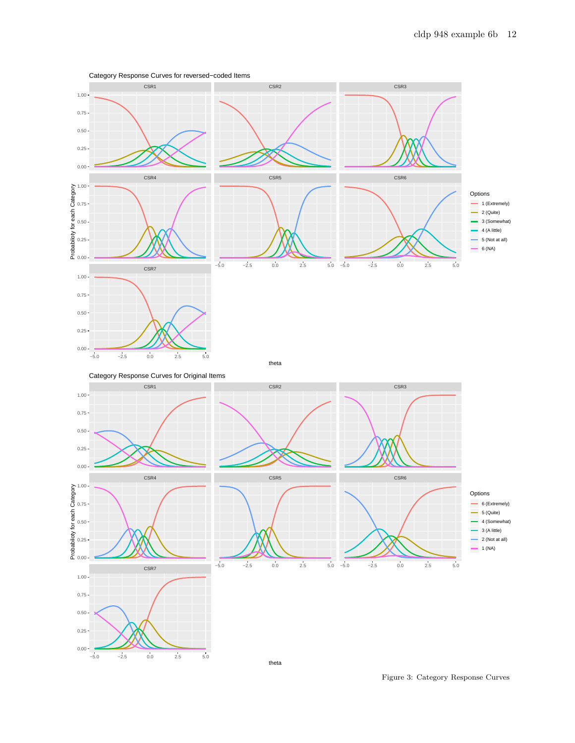

Category Response Curves for reversed−coded Items

Figure 3: Category Response Curves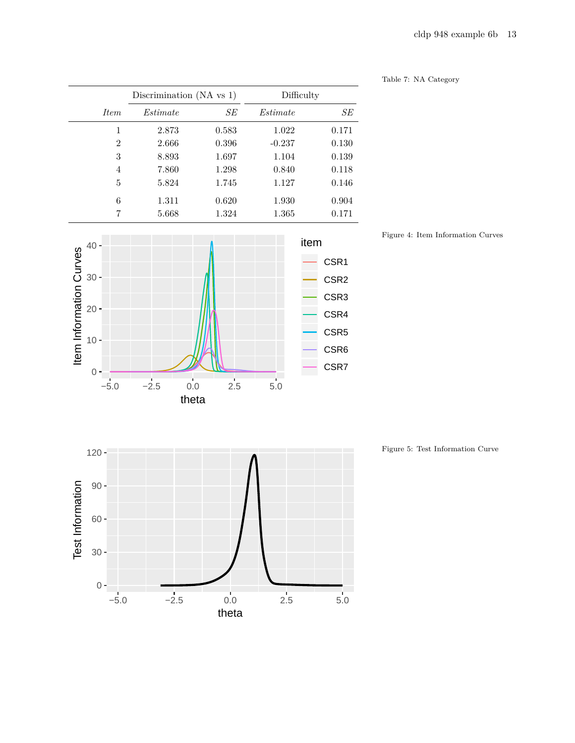|                | Discrimination $(NA vs 1)$ |       | Difficulty |       |  |
|----------------|----------------------------|-------|------------|-------|--|
| <i>Item</i>    | <i>Estimate</i>            | SЕ    | Estimate   | SЕ    |  |
| 1              | 2.873                      | 0.583 | 1.022      | 0.171 |  |
| $\overline{2}$ | 2.666                      | 0.396 | $-0.237$   | 0.130 |  |
| 3              | 8.893                      | 1.697 | 1.104      | 0.139 |  |
| 4              | 7.860                      | 1.298 | 0.840      | 0.118 |  |
| 5              | 5.824                      | 1.745 | 1.127      | 0.146 |  |
| 6              | 1.311                      | 0.620 | 1.930      | 0.904 |  |
| 7              | 5.668                      | 1.324 | 1.365      | 0.171 |  |



theta

Table 7: NA Category

Figure 4: Item Information Curves



Figure 5: Test Information Curve